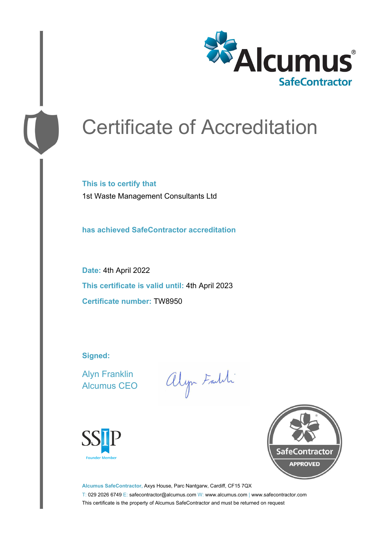

# Certificate of Accreditation

**This is to certify that** 1st Waste Management Consultants Ltd

**has achieved SafeContractor accreditation**

**Date:** 4th April 2022 **This certificate is valid until:** 4th April 2023 **Certificate number:** TW8950

**Signed:**

Alyn Franklin Alcumus CEO

alyn Faith





**Alcumus SafeContractor,** Axys House, Parc Nantgarw, Cardiff, CF15 7QX T: 029 2026 6749 E: safecontractor@alcumus.com W: www.alcumus.com | www.safecontractor.com This certificate is the property of Alcumus SafeContractor and must be returned on request